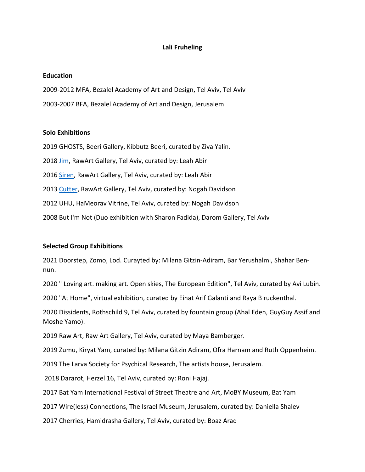## **Lali Fruheling**

#### **Education**

2009-2012 MFA, Bezalel Academy of Art and Design, Tel Aviv, Tel Aviv 2003-2007 BFA, Bezalel Academy of Art and Design, Jerusalem

#### **Solo Exhibitions**

2019 GHOSTS, Beeri Gallery, Kibbutz Beeri, curated by Ziva Yalin. 2018 [Jim,](http://www.rawart-gallery.com/exhibition/lali-fruheling-jim/) RawArt Gallery, Tel Aviv, curated by: Leah Abir 2016 [Siren,](http://www.rawart-gallery.com/exhibition/lali-fruheling-siren/) RawArt Gallery, Tel Aviv, curated by: Leah Abir 2013 [Cutter,](http://www.rawart-gallery.com/exhibition/lali-fruheling-cutter/) RawArt Gallery, Tel Aviv, curated by: Nogah Davidson 2012 UHU, HaMeorav Vitrine, Tel Aviv, curated by: Nogah Davidson 2008 But I'm Not (Duo exhibition with Sharon Fadida), Darom Gallery, Tel Aviv

### **Selected Group Exhibitions**

2021 Doorstep, Zomo, Lod. Curayted by: Milana Gitzin-Adiram, Bar Yerushalmi, Shahar Bennun.

2020 " Loving art. making art. Open skies, The European Edition", Tel Aviv, curated by Avi Lubin.

2020 "At Home", virtual exhibition, curated by Einat Arif Galanti and Raya B ruckenthal.

2020 Dissidents, Rothschild 9, Tel Aviv, curated by fountain group (Ahal Eden, GuyGuy Assif and Moshe Yamo).

2019 Raw Art, Raw Art Gallery, Tel Aviv, curated by Maya Bamberger.

2019 Zumu, Kiryat Yam, curated by: Milana Gitzin Adiram, Ofra Harnam and Ruth Oppenheim.

2019 The Larva Society for Psychical Research, The artists house, Jerusalem.

2018 Dararot, Herzel 16, Tel Aviv, curated by: Roni Hajaj.

2017 Bat Yam International Festival of Street Theatre and Art, MoBY Museum, Bat Yam

2017 Wire(less) Connections, The Israel Museum, Jerusalem, curated by: Daniella Shalev

2017 Cherries, Hamidrasha Gallery, Tel Aviv, curated by: Boaz Arad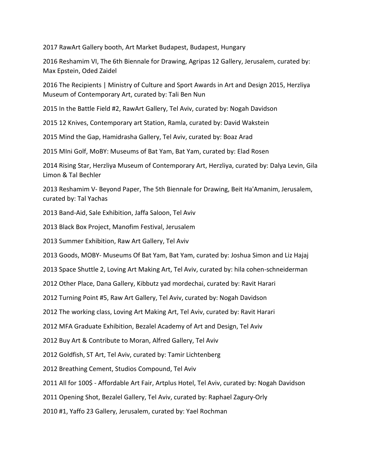2017 RawArt Gallery booth, Art Market Budapest, Budapest, Hungary

2016 Reshamim VI, The 6th Biennale for Drawing, Agripas 12 Gallery, Jerusalem, curated by: Max Epstein, Oded Zaidel

2016 The Recipients | Ministry of Culture and Sport Awards in Art and Design 2015, Herzliya Museum of Contemporary Art, curated by: Tali Ben Nun

2015 In the Battle Field #2, RawArt Gallery, Tel Aviv, curated by: Nogah Davidson

2015 12 Knives, Contemporary art Station, Ramla, curated by: David Wakstein

2015 Mind the Gap, Hamidrasha Gallery, Tel Aviv, curated by: Boaz Arad

2015 MIni Golf, MoBY: Museums of Bat Yam, Bat Yam, curated by: Elad Rosen

2014 Rising Star, Herzliya Museum of Contemporary Art, Herzliya, curated by: Dalya Levin, Gila Limon & Tal Bechler

2013 Reshamim V- Beyond Paper, The 5th Biennale for Drawing, Beit Ha'Amanim, Jerusalem, curated by: Tal Yachas

2013 Band-Aid, Sale Exhibition, Jaffa Saloon, Tel Aviv

2013 Black Box Project, Manofim Festival, Jerusalem

2013 Summer Exhibition, Raw Art Gallery, Tel Aviv

2013 Goods, MOBY- Museums Of Bat Yam, Bat Yam, curated by: Joshua Simon and Liz Hajaj

2013 Space Shuttle 2, Loving Art Making Art, Tel Aviv, curated by: hila cohen-schneiderman

2012 Other Place, Dana Gallery, Kibbutz yad mordechai, curated by: Ravit Harari

2012 Turning Point #5, Raw Art Gallery, Tel Aviv, curated by: Nogah Davidson

2012 The working class, Loving Art Making Art, Tel Aviv, curated by: Ravit Harari

2012 MFA Graduate Exhibition, Bezalel Academy of Art and Design, Tel Aviv

2012 Buy Art & Contribute to Moran, Alfred Gallery, Tel Aviv

2012 Goldfish, ST Art, Tel Aviv, curated by: Tamir Lichtenberg

2012 Breathing Cement, Studios Compound, Tel Aviv

2011 All for 100\$ - Affordable Art Fair, Artplus Hotel, Tel Aviv, curated by: Nogah Davidson

2011 Opening Shot, Bezalel Gallery, Tel Aviv, curated by: Raphael Zagury-Orly

2010 #1, Yaffo 23 Gallery, Jerusalem, curated by: Yael Rochman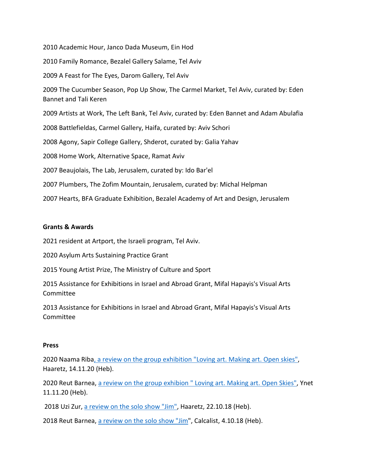2010 Academic Hour, Janco Dada Museum, Ein Hod

2010 Family Romance, Bezalel Gallery Salame, Tel Aviv

2009 A Feast for The Eyes, Darom Gallery, Tel Aviv

2009 The Cucumber Season, Pop Up Show, The Carmel Market, Tel Aviv, curated by: Eden Bannet and Tali Keren

2009 Artists at Work, The Left Bank, Tel Aviv, curated by: Eden Bannet and Adam Abulafia

2008 Battlefieldas, Carmel Gallery, Haifa, curated by: Aviv Schori

2008 Agony, Sapir College Gallery, Shderot, curated by: Galia Yahav

2008 Home Work, Alternative Space, Ramat Aviv

2007 Beaujolais, The Lab, Jerusalem, curated by: Ido Bar'el

2007 Plumbers, The Zofim Mountain, Jerusalem, curated by: Michal Helpman

2007 Hearts, BFA Graduate Exhibition, Bezalel Academy of Art and Design, Jerusalem

## **Grants & Awards**

2021 resident at Artport, the Israeli program, Tel Aviv.

2020 Asylum Arts Sustaining Practice Grant

2015 Young Artist Prize, The Ministry of Culture and Sport

2015 Assistance for Exhibitions in Israel and Abroad Grant, Mifal Hapayis's Visual Arts Committee

2013 Assistance for Exhibitions in Israel and Abroad Grant, Mifal Hapayis's Visual Arts Committee

### **Press**

2020 Naama Rib[a, a review on the group exhibition "Loving art. Making art. Open skies",](https://www.haaretz.co.il/gallery/art/.premium-MAGAZINE-1.9308673) Haaretz, 14.11.20 (Heb).

2020 Reut Barnea, [a review on the group exhibion " Loving art. Making art. Open Skies",](https://www.ynet.co.il/entertainment/article/rJ7lw6wtP) Ynet 11.11.20 (Heb).

2018 Uzi Zur, [a review on the solo show "Jim",](https://www.haaretz.co.il/literature/closeoneeye/.premium-1.6584727) Haaretz, 22.10.18 (Heb).

2018 Reut Barnea, [a review on the solo show "Jim"](https://www.calcalist.co.il/consumer/articles/0,7340,L-3746894,00.html), Calcalist, 4.10.18 (Heb).